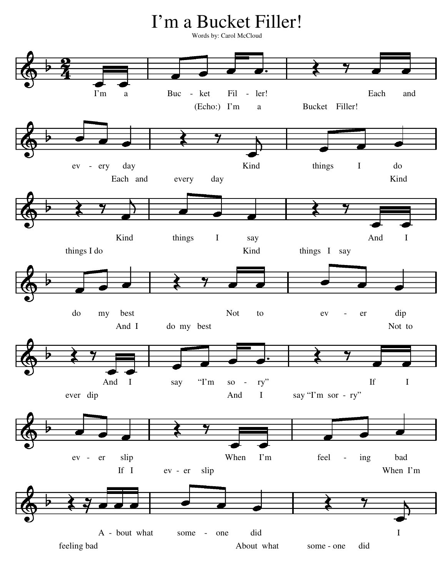